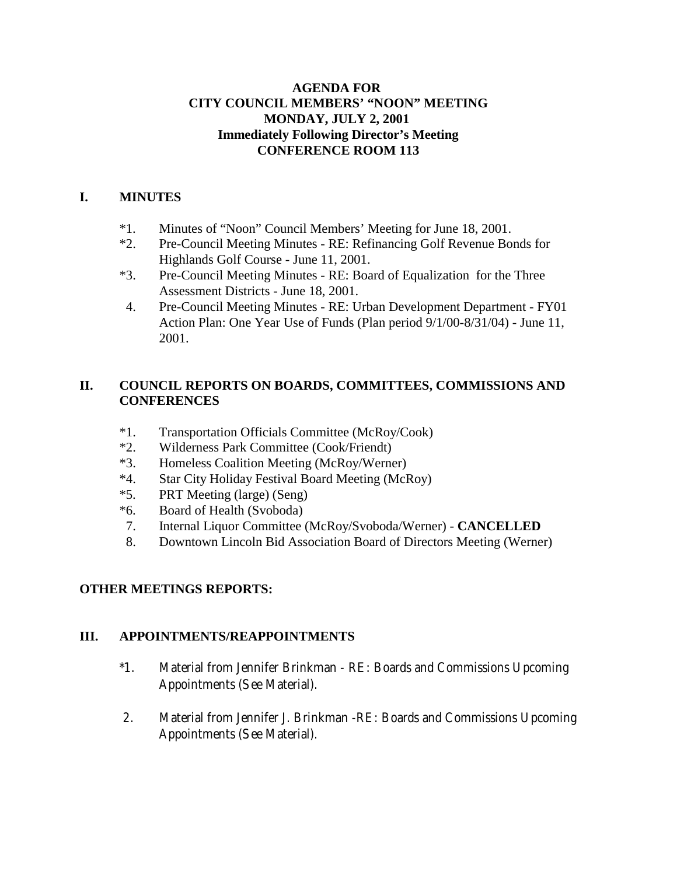#### **AGENDA FOR CITY COUNCIL MEMBERS' "NOON" MEETING MONDAY, JULY 2, 2001 Immediately Following Director's Meeting CONFERENCE ROOM 113**

## **I. MINUTES**

- \*1. Minutes of "Noon" Council Members' Meeting for June 18, 2001.
- \*2. Pre-Council Meeting Minutes RE: Refinancing Golf Revenue Bonds for Highlands Golf Course - June 11, 2001.
- \*3. Pre-Council Meeting Minutes RE: Board of Equalization for the Three Assessment Districts - June 18, 2001.
- 4. Pre-Council Meeting Minutes RE: Urban Development Department FY01 Action Plan: One Year Use of Funds (Plan period 9/1/00-8/31/04) - June 11, 2001.

## **II. COUNCIL REPORTS ON BOARDS, COMMITTEES, COMMISSIONS AND CONFERENCES**

- \*1. Transportation Officials Committee (McRoy/Cook)
- \*2. Wilderness Park Committee (Cook/Friendt)
- \*3. Homeless Coalition Meeting (McRoy/Werner)
- \*4. Star City Holiday Festival Board Meeting (McRoy)
- \*5. PRT Meeting (large) (Seng)
- \*6. Board of Health (Svoboda)
- 7. Internal Liquor Committee (McRoy/Svoboda/Werner) **CANCELLED**
- 8. Downtown Lincoln Bid Association Board of Directors Meeting (Werner)

# **OTHER MEETINGS REPORTS:**

#### **III. APPOINTMENTS/REAPPOINTMENTS**

- \*1. Material from Jennifer Brinkman RE: Boards and Commissions Upcoming Appointments (See Material).
- 2. Material from Jennifer J. Brinkman -RE: Boards and Commissions Upcoming Appointments (See Material).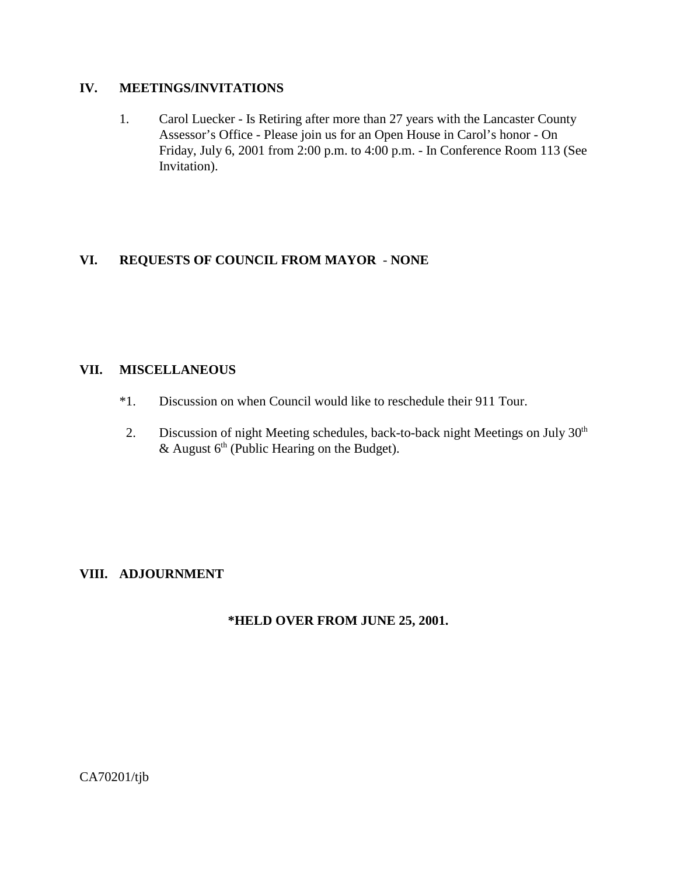#### **IV. MEETINGS/INVITATIONS**

1. Carol Luecker - Is Retiring after more than 27 years with the Lancaster County Assessor's Office - Please join us for an Open House in Carol's honor - On Friday, July 6, 2001 from 2:00 p.m. to 4:00 p.m. - In Conference Room 113 (See Invitation).

# **VI. REQUESTS OF COUNCIL FROM MAYOR** - **NONE**

#### **VII. MISCELLANEOUS**

- \*1. Discussion on when Council would like to reschedule their 911 Tour.
- 2. Discussion of night Meeting schedules, back-to-back night Meetings on July 30<sup>th</sup> & August  $6<sup>th</sup>$  (Public Hearing on the Budget).

# **VIII. ADJOURNMENT**

#### **\*HELD OVER FROM JUNE 25, 2001.**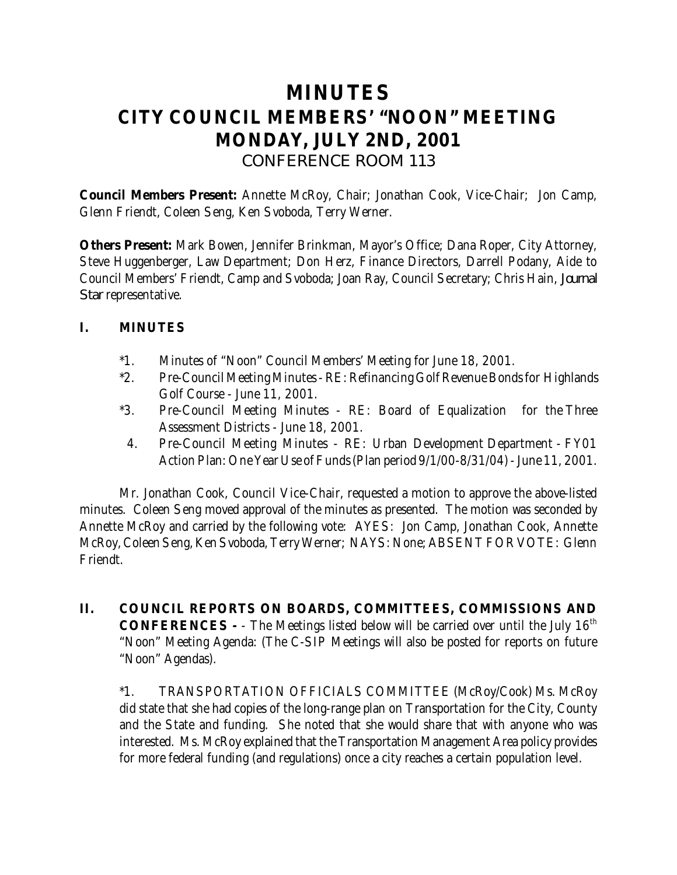# **MINUTES CITY COUNCIL MEMBERS' "NOON" MEETING MONDAY, JULY 2ND, 2001** *CONFERENCE ROOM 113*

**Council Members Present:** Annette McRoy, Chair; Jonathan Cook, Vice-Chair; Jon Camp, Glenn Friendt, Coleen Seng, Ken Svoboda, Terry Werner.

**Others Present:** Mark Bowen, Jennifer Brinkman, Mayor's Office; Dana Roper, City Attorney, Steve Huggenberger, Law Department; Don Herz, Finance Directors, Darrell Podany, Aide to Council Members' Friendt, Camp and Svoboda; Joan Ray, Council Secretary; Chris Hain, *Journal Star* representative.

# **I. MINUTES**

- \*1. Minutes of "Noon" Council Members' Meeting for June 18, 2001.
- \*2. Pre-Council Meeting Minutes RE: Refinancing Golf Revenue Bonds for Highlands Golf Course - June 11, 2001.
- \*3. Pre-Council Meeting Minutes RE: Board of Equalization for the Three Assessment Districts - June 18, 2001.
	- 4. Pre-Council Meeting Minutes RE: Urban Development Department FY01 Action Plan: One Year Use of Funds (Plan period 9/1/00-8/31/04) - June 11, 2001.

Mr. Jonathan Cook, Council Vice-Chair, requested a motion to approve the above-listed minutes. Coleen Seng moved approval of the minutes as presented. The motion was seconded by Annette McRoy and carried by the following vote: AYES: Jon Camp, Jonathan Cook, Annette McRoy, Coleen Seng, Ken Svoboda, Terry Werner; NAYS: None; ABSENT FOR VOTE: Glenn Friendt.

**II. COUNCIL REPORTS ON BOARDS, COMMITTEES, COMMISSIONS AND CONFERENCES** - - The Meetings listed below will be carried over until the July 16<sup>th</sup> "Noon" Meeting Agenda: (The C-SIP Meetings will also be posted for reports on future "Noon" Agendas).

\*1. TRANSPORTATION OFFICIALS COMMITTEE (McRoy/Cook) Ms. McRoy did state that she had copies of the long-range plan on Transportation for the City, County and the State and funding. She noted that she would share that with anyone who was interested. Ms. McRoy explained that the Transportation Management Area policy provides for more federal funding (and regulations) once a city reaches a certain population level.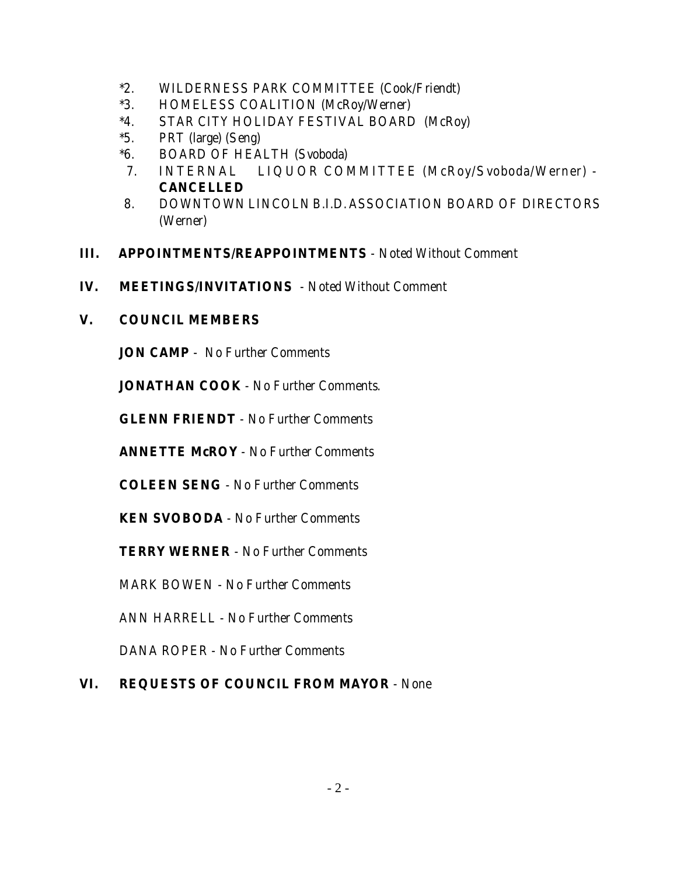- \*2. WILDERNESS PARK COMMITTEE (Cook/Friendt)
- \*3. HOMELESS COALITION (McRoy/Werner)
- \*4. STAR CITY HOLIDAY FESTIVAL BOARD (McRoy)
- \*5. PRT (large) (Seng)
- \*6. BOARD OF HEALTH (Svoboda)
- 7. INTERNAL LIQUOR COMMITTEE (McRoy/Svoboda/Werner) **CANCELLED**
- 8. DOWNTOWN LINCOLN B.I.D. ASSOCIATION BOARD OF DIRECTORS (Werner)
- **III. APPOINTMENTS/REAPPOINTMENTS** Noted Without Comment
- **IV. MEETINGS/INVITATIONS**  Noted Without Comment
- **V. COUNCIL MEMBERS**

**JON CAMP** - No Further Comments

**JONATHAN COOK** - No Further Comments.

**GLENN FRIENDT** - No Further Comments

**ANNETTE McROY** - No Further Comments

**COLEEN SENG** - No Further Comments

**KEN SVOBODA** - No Further Comments

**TERRY WERNER** - No Further Comments

MARK BOWEN - No Further Comments

ANN HARRELL - No Further Comments

DANA ROPER - No Further Comments

# **VI. REQUESTS OF COUNCIL FROM MAYOR** - None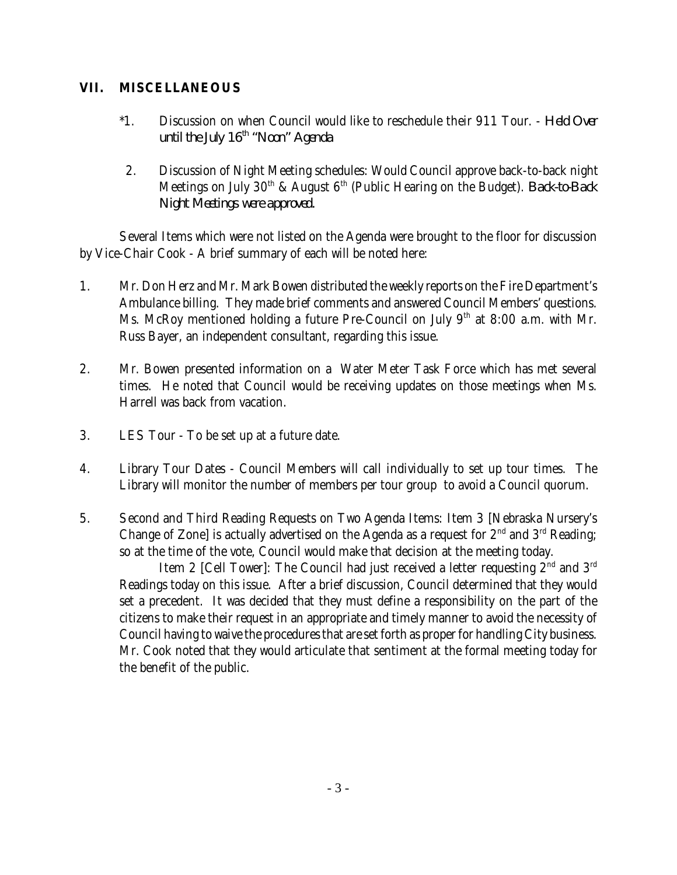## **VII. MISCELLANEOUS**

- \*1. Discussion on when Council would like to reschedule their 911 Tour. *Held Over until the July 16th "Noon" Agenda*
- 2. Discussion of Night Meeting schedules: Would Council approve back-to-back night Meetings on July 30<sup>th</sup> & August 6<sup>th</sup> (Public Hearing on the Budget). *Back-to-Back Night Meetings were approved.*

Several Items which were not listed on the Agenda were brought to the floor for discussion by Vice-Chair Cook - A brief summary of each will be noted here:

- 1. Mr. Don Herz and Mr. Mark Bowen distributed the weekly reports on the Fire Department's Ambulance billing. They made brief comments and answered Council Members' questions. Ms. McRoy mentioned holding a future Pre-Council on July 9<sup>th</sup> at 8:00 a.m. with Mr. Russ Bayer, an independent consultant, regarding this issue.
- 2. Mr. Bowen presented information on a Water Meter Task Force which has met several times. He noted that Council would be receiving updates on those meetings when Ms. Harrell was back from vacation.
- 3. LES Tour To be set up at a future date.
- 4. Library Tour Dates Council Members will call individually to set up tour times. The Library will monitor the number of members per tour group to avoid a Council quorum.
- 5. Second and Third Reading Requests on Two Agenda Items: Item 3 [Nebraska Nursery's Change of Zone] is actually advertised on the Agenda as a request for  $2<sup>nd</sup>$  and  $3<sup>rd</sup>$  Reading; so at the time of the vote, Council would make that decision at the meeting today.

Item 2 [Cell Tower]: The Council had just received a letter requesting  $2<sup>nd</sup>$  and  $3<sup>rd</sup>$ Readings today on this issue. After a brief discussion, Council determined that they would set a precedent. It was decided that they must define a responsibility on the part of the citizens to make their request in an appropriate and timely manner to avoid the necessity of Council having to waive the procedures that are set forth as proper for handling City business. Mr. Cook noted that they would articulate that sentiment at the formal meeting today for the benefit of the public.